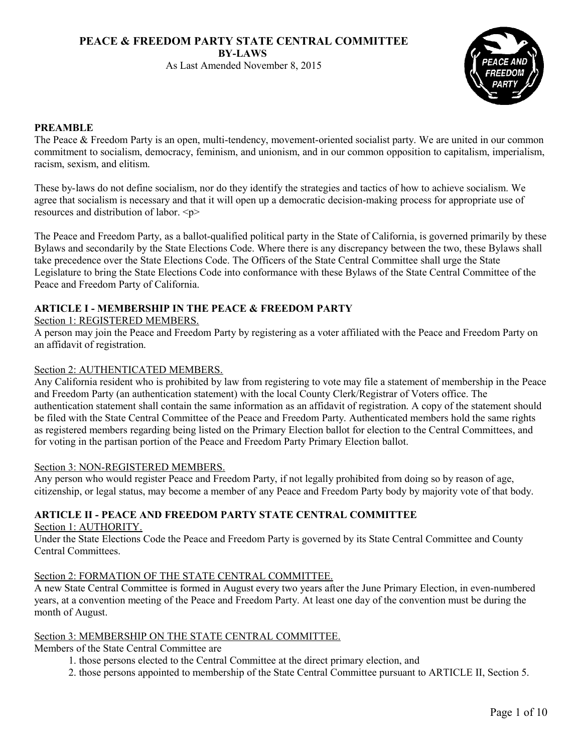# **PEACE & FREEDOM PARTY STATE CENTRAL COMMITTEE BY-LAWS**

As Last Amended November 8, 2015



## **PREAMBLE**

The Peace & Freedom Party is an open, multi-tendency, movement-oriented socialist party. We are united in our common commitment to socialism, democracy, feminism, and unionism, and in our common opposition to capitalism, imperialism, racism, sexism, and elitism.

These by-laws do not define socialism, nor do they identify the strategies and tactics of how to achieve socialism. We agree that socialism is necessary and that it will open up a democratic decision-making process for appropriate use of resources and distribution of labor. <p>

The Peace and Freedom Party, as a ballot-qualified political party in the State of California, is governed primarily by these Bylaws and secondarily by the State Elections Code. Where there is any discrepancy between the two, these Bylaws shall take precedence over the State Elections Code. The Officers of the State Central Committee shall urge the State Legislature to bring the State Elections Code into conformance with these Bylaws of the State Central Committee of the Peace and Freedom Party of California.

# **ARTICLE I - MEMBERSHIP IN THE PEACE & FREEDOM PARTY**

## Section 1: REGISTERED MEMBERS.

A person may join the Peace and Freedom Party by registering as a voter affiliated with the Peace and Freedom Party on an affidavit of registration.

## Section 2: AUTHENTICATED MEMBERS.

Any California resident who is prohibited by law from registering to vote may file a statement of membership in the Peace and Freedom Party (an authentication statement) with the local County Clerk/Registrar of Voters office. The authentication statement shall contain the same information as an affidavit of registration. A copy of the statement should be filed with the State Central Committee of the Peace and Freedom Party. Authenticated members hold the same rights as registered members regarding being listed on the Primary Election ballot for election to the Central Committees, and for voting in the partisan portion of the Peace and Freedom Party Primary Election ballot.

## Section 3: NON-REGISTERED MEMBERS.

Any person who would register Peace and Freedom Party, if not legally prohibited from doing so by reason of age, citizenship, or legal status, may become a member of any Peace and Freedom Party body by majority vote of that body.

# **ARTICLE II - PEACE AND FREEDOM PARTY STATE CENTRAL COMMITTEE**

Section 1: AUTHORITY.

Under the State Elections Code the Peace and Freedom Party is governed by its State Central Committee and County Central Committees.

## Section 2: FORMATION OF THE STATE CENTRAL COMMITTEE.

A new State Central Committee is formed in August every two years after the June Primary Election, in even-numbered years, at a convention meeting of the Peace and Freedom Party. At least one day of the convention must be during the month of August.

## Section 3: MEMBERSHIP ON THE STATE CENTRAL COMMITTEE.

Members of the State Central Committee are

- 1. those persons elected to the Central Committee at the direct primary election, and
- 2. those persons appointed to membership of the State Central Committee pursuant to ARTICLE II, Section 5.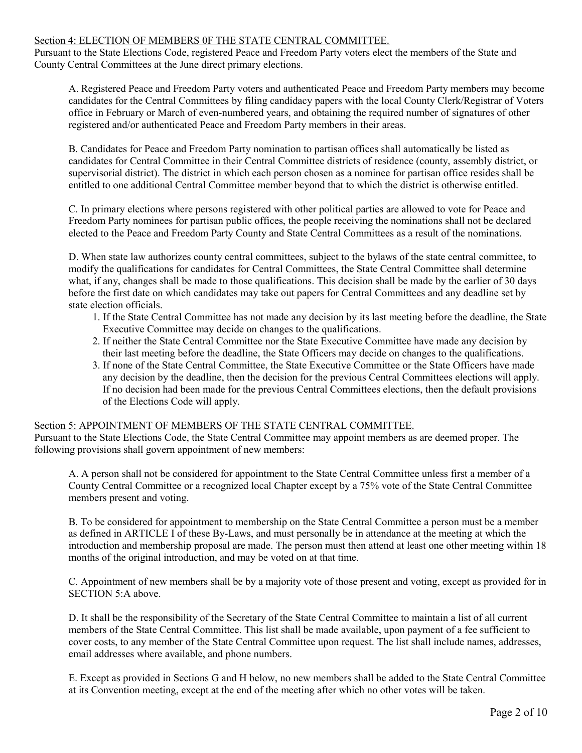## Section 4: ELECTION OF MEMBERS 0F THE STATE CENTRAL COMMITTEE.

Pursuant to the State Elections Code, registered Peace and Freedom Party voters elect the members of the State and County Central Committees at the June direct primary elections.

A. Registered Peace and Freedom Party voters and authenticated Peace and Freedom Party members may become candidates for the Central Committees by filing candidacy papers with the local County Clerk/Registrar of Voters office in February or March of even-numbered years, and obtaining the required number of signatures of other registered and/or authenticated Peace and Freedom Party members in their areas.

B. Candidates for Peace and Freedom Party nomination to partisan offices shall automatically be listed as candidates for Central Committee in their Central Committee districts of residence (county, assembly district, or supervisorial district). The district in which each person chosen as a nominee for partisan office resides shall be entitled to one additional Central Committee member beyond that to which the district is otherwise entitled.

C. In primary elections where persons registered with other political parties are allowed to vote for Peace and Freedom Party nominees for partisan public offices, the people receiving the nominations shall not be declared elected to the Peace and Freedom Party County and State Central Committees as a result of the nominations.

D. When state law authorizes county central committees, subject to the bylaws of the state central committee, to modify the qualifications for candidates for Central Committees, the State Central Committee shall determine what, if any, changes shall be made to those qualifications. This decision shall be made by the earlier of 30 days before the first date on which candidates may take out papers for Central Committees and any deadline set by state election officials.

- 1. If the State Central Committee has not made any decision by its last meeting before the deadline, the State Executive Committee may decide on changes to the qualifications.
- 2. If neither the State Central Committee nor the State Executive Committee have made any decision by their last meeting before the deadline, the State Officers may decide on changes to the qualifications.
- 3. If none of the State Central Committee, the State Executive Committee or the State Officers have made any decision by the deadline, then the decision for the previous Central Committees elections will apply. If no decision had been made for the previous Central Committees elections, then the default provisions of the Elections Code will apply.

## Section 5: APPOINTMENT OF MEMBERS OF THE STATE CENTRAL COMMITTEE.

Pursuant to the State Elections Code, the State Central Committee may appoint members as are deemed proper. The following provisions shall govern appointment of new members:

A. A person shall not be considered for appointment to the State Central Committee unless first a member of a County Central Committee or a recognized local Chapter except by a 75% vote of the State Central Committee members present and voting.

B. To be considered for appointment to membership on the State Central Committee a person must be a member as defined in ARTICLE I of these By-Laws, and must personally be in attendance at the meeting at which the introduction and membership proposal are made. The person must then attend at least one other meeting within 18 months of the original introduction, and may be voted on at that time.

C. Appointment of new members shall be by a majority vote of those present and voting, except as provided for in SECTION 5:A above.

D. It shall be the responsibility of the Secretary of the State Central Committee to maintain a list of all current members of the State Central Committee. This list shall be made available, upon payment of a fee sufficient to cover costs, to any member of the State Central Committee upon request. The list shall include names, addresses, email addresses where available, and phone numbers.

E. Except as provided in Sections G and H below, no new members shall be added to the State Central Committee at its Convention meeting, except at the end of the meeting after which no other votes will be taken.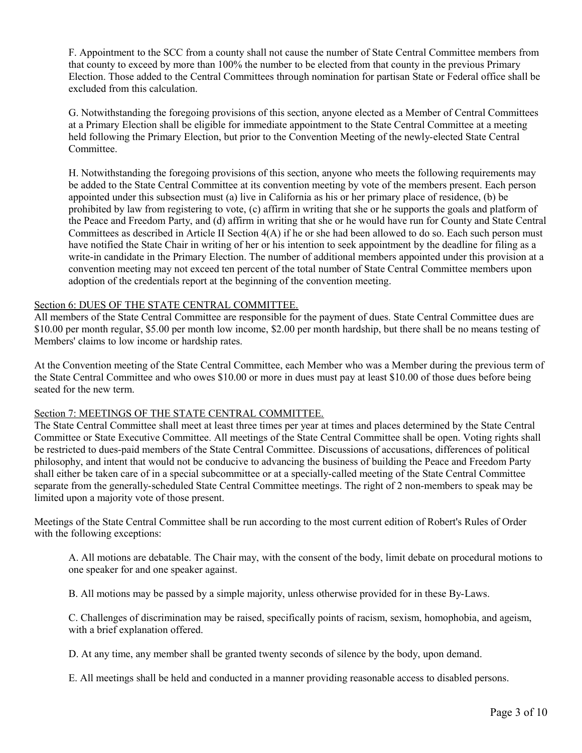F. Appointment to the SCC from a county shall not cause the number of State Central Committee members from that county to exceed by more than 100% the number to be elected from that county in the previous Primary Election. Those added to the Central Committees through nomination for partisan State or Federal office shall be excluded from this calculation.

G. Notwithstanding the foregoing provisions of this section, anyone elected as a Member of Central Committees at a Primary Election shall be eligible for immediate appointment to the State Central Committee at a meeting held following the Primary Election, but prior to the Convention Meeting of the newly-elected State Central Committee.

H. Notwithstanding the foregoing provisions of this section, anyone who meets the following requirements may be added to the State Central Committee at its convention meeting by vote of the members present. Each person appointed under this subsection must (a) live in California as his or her primary place of residence, (b) be prohibited by law from registering to vote, (c) affirm in writing that she or he supports the goals and platform of the Peace and Freedom Party, and (d) affirm in writing that she or he would have run for County and State Central Committees as described in Article II Section 4(A) if he or she had been allowed to do so. Each such person must have notified the State Chair in writing of her or his intention to seek appointment by the deadline for filing as a write-in candidate in the Primary Election. The number of additional members appointed under this provision at a convention meeting may not exceed ten percent of the total number of State Central Committee members upon adoption of the credentials report at the beginning of the convention meeting.

## Section 6: DUES OF THE STATE CENTRAL COMMITTEE.

All members of the State Central Committee are responsible for the payment of dues. State Central Committee dues are \$10.00 per month regular, \$5.00 per month low income, \$2.00 per month hardship, but there shall be no means testing of Members' claims to low income or hardship rates.

At the Convention meeting of the State Central Committee, each Member who was a Member during the previous term of the State Central Committee and who owes \$10.00 or more in dues must pay at least \$10.00 of those dues before being seated for the new term.

## Section 7: MEETINGS OF THE STATE CENTRAL COMMITTEE.

The State Central Committee shall meet at least three times per year at times and places determined by the State Central Committee or State Executive Committee. All meetings of the State Central Committee shall be open. Voting rights shall be restricted to dues-paid members of the State Central Committee. Discussions of accusations, differences of political philosophy, and intent that would not be conducive to advancing the business of building the Peace and Freedom Party shall either be taken care of in a special subcommittee or at a specially-called meeting of the State Central Committee separate from the generally-scheduled State Central Committee meetings. The right of 2 non-members to speak may be limited upon a majority vote of those present.

Meetings of the State Central Committee shall be run according to the most current edition of Robert's Rules of Order with the following exceptions:

A. All motions are debatable. The Chair may, with the consent of the body, limit debate on procedural motions to one speaker for and one speaker against.

B. All motions may be passed by a simple majority, unless otherwise provided for in these By-Laws.

C. Challenges of discrimination may be raised, specifically points of racism, sexism, homophobia, and ageism, with a brief explanation offered.

D. At any time, any member shall be granted twenty seconds of silence by the body, upon demand.

E. All meetings shall be held and conducted in a manner providing reasonable access to disabled persons.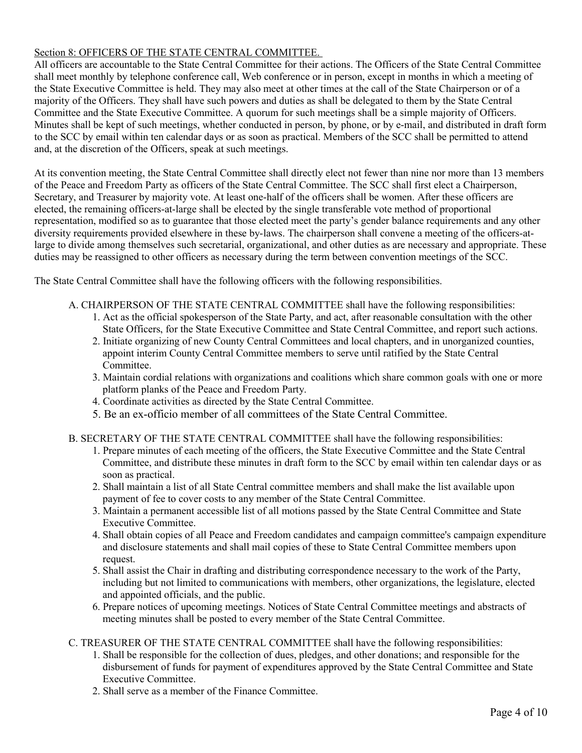# Section 8: OFFICERS OF THE STATE CENTRAL COMMITTEE.

All officers are accountable to the State Central Committee for their actions. The Officers of the State Central Committee shall meet monthly by telephone conference call, Web conference or in person, except in months in which a meeting of the State Executive Committee is held. They may also meet at other times at the call of the State Chairperson or of a majority of the Officers. They shall have such powers and duties as shall be delegated to them by the State Central Committee and the State Executive Committee. A quorum for such meetings shall be a simple majority of Officers. Minutes shall be kept of such meetings, whether conducted in person, by phone, or by e-mail, and distributed in draft form to the SCC by email within ten calendar days or as soon as practical. Members of the SCC shall be permitted to attend and, at the discretion of the Officers, speak at such meetings.

At its convention meeting, the State Central Committee shall directly elect not fewer than nine nor more than 13 members of the Peace and Freedom Party as officers of the State Central Committee. The SCC shall first elect a Chairperson, Secretary, and Treasurer by majority vote. At least one-half of the officers shall be women. After these officers are elected, the remaining officers-at-large shall be elected by the single transferable vote method of proportional representation, modified so as to guarantee that those elected meet the party's gender balance requirements and any other diversity requirements provided elsewhere in these by-laws. The chairperson shall convene a meeting of the officers-atlarge to divide among themselves such secretarial, organizational, and other duties as are necessary and appropriate. These duties may be reassigned to other officers as necessary during the term between convention meetings of the SCC.

The State Central Committee shall have the following officers with the following responsibilities.

- A. CHAIRPERSON OF THE STATE CENTRAL COMMITTEE shall have the following responsibilities:
	- 1. Act as the official spokesperson of the State Party, and act, after reasonable consultation with the other State Officers, for the State Executive Committee and State Central Committee, and report such actions.
	- 2. Initiate organizing of new County Central Committees and local chapters, and in unorganized counties, appoint interim County Central Committee members to serve until ratified by the State Central Committee.
	- 3. Maintain cordial relations with organizations and coalitions which share common goals with one or more platform planks of the Peace and Freedom Party.
	- 4. Coordinate activities as directed by the State Central Committee.
	- 5. Be an ex-officio member of all committees of the State Central Committee.
- B. SECRETARY OF THE STATE CENTRAL COMMITTEE shall have the following responsibilities:
	- 1. Prepare minutes of each meeting of the officers, the State Executive Committee and the State Central Committee, and distribute these minutes in draft form to the SCC by email within ten calendar days or as soon as practical.
	- 2. Shall maintain a list of all State Central committee members and shall make the list available upon payment of fee to cover costs to any member of the State Central Committee.
	- 3. Maintain a permanent accessible list of all motions passed by the State Central Committee and State Executive Committee.
	- 4. Shall obtain copies of all Peace and Freedom candidates and campaign committee's campaign expenditure and disclosure statements and shall mail copies of these to State Central Committee members upon request.
	- 5. Shall assist the Chair in drafting and distributing correspondence necessary to the work of the Party, including but not limited to communications with members, other organizations, the legislature, elected and appointed officials, and the public.
	- 6. Prepare notices of upcoming meetings. Notices of State Central Committee meetings and abstracts of meeting minutes shall be posted to every member of the State Central Committee.
- C. TREASURER OF THE STATE CENTRAL COMMITTEE shall have the following responsibilities:
	- 1. Shall be responsible for the collection of dues, pledges, and other donations; and responsible for the disbursement of funds for payment of expenditures approved by the State Central Committee and State Executive Committee.
	- 2. Shall serve as a member of the Finance Committee.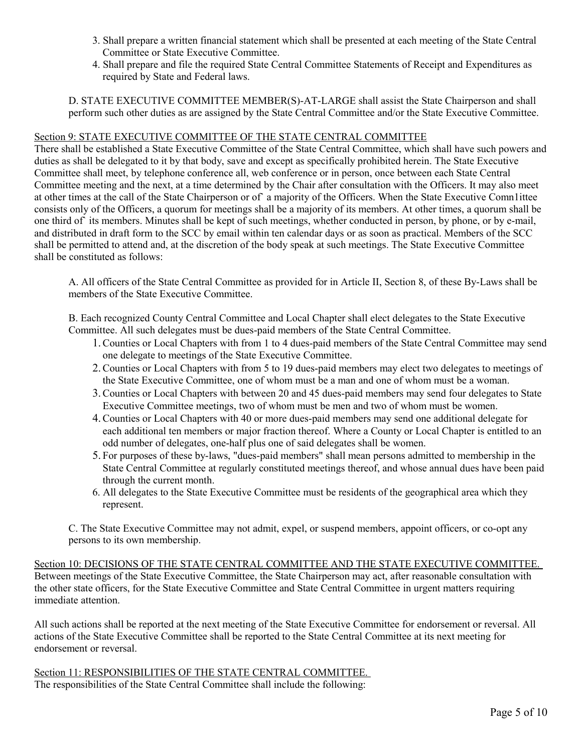- 3. Shall prepare a written financial statement which shall be presented at each meeting of the State Central Committee or State Executive Committee.
- 4. Shall prepare and file the required State Central Committee Statements of Receipt and Expenditures as required by State and Federal laws.

D. STATE EXECUTIVE COMMITTEE MEMBER(S)-AT-LARGE shall assist the State Chairperson and shall perform such other duties as are assigned by the State Central Committee and/or the State Executive Committee.

# Section 9: STATE EXECUTIVE COMMITTEE OF THE STATE CENTRAL COMMITTEE

There shall be established a State Executive Committee of the State Central Committee, which shall have such powers and duties as shall be delegated to it by that body, save and except as specifically prohibited herein. The State Executive Committee shall meet, by telephone conference all, web conference or in person, once between each State Central Committee meeting and the next, at a time determined by the Chair after consultation with the Officers. It may also meet at other times at the call of the State Chairperson or of` a majority of the Officers. When the State Executive Comn1ittee consists only of the Officers, a quorum for meetings shall be a majority of its members. At other times, a quorum shall be one third of` its members. Minutes shall be kept of such meetings, whether conducted in person, by phone, or by e-mail, and distributed in draft form to the SCC by email within ten calendar days or as soon as practical. Members of the SCC shall be permitted to attend and, at the discretion of the body speak at such meetings. The State Executive Committee shall be constituted as follows:

A. All officers of the State Central Committee as provided for in Article II, Section 8, of these By-Laws shall be members of the State Executive Committee.

B. Each recognized County Central Committee and Local Chapter shall elect delegates to the State Executive Committee. All such delegates must be dues-paid members of the State Central Committee.

- 1.Counties or Local Chapters with from 1 to 4 dues-paid members of the State Central Committee may send one delegate to meetings of the State Executive Committee.
- 2.Counties or Local Chapters with from 5 to 19 dues-paid members may elect two delegates to meetings of the State Executive Committee, one of whom must be a man and one of whom must be a woman.
- 3.Counties or Local Chapters with between 20 and 45 dues-paid members may send four delegates to State Executive Committee meetings, two of whom must be men and two of whom must be women.
- 4.Counties or Local Chapters with 40 or more dues-paid members may send one additional delegate for each additional ten members or major fraction thereof. Where a County or Local Chapter is entitled to an odd number of delegates, one-half plus one of said delegates shall be women.
- 5. For purposes of these by-laws, "dues-paid members" shall mean persons admitted to membership in the State Central Committee at regularly constituted meetings thereof, and whose annual dues have been paid through the current month.
- 6. All delegates to the State Executive Committee must be residents of the geographical area which they represent.

C. The State Executive Committee may not admit, expel, or suspend members, appoint officers, or co-opt any persons to its own membership.

Section 10: DECISIONS OF THE STATE CENTRAL COMMITTEE AND THE STATE EXECUTIVE COMMITTEE. Between meetings of the State Executive Committee, the State Chairperson may act, after reasonable consultation with the other state officers, for the State Executive Committee and State Central Committee in urgent matters requiring immediate attention.

All such actions shall be reported at the next meeting of the State Executive Committee for endorsement or reversal. All actions of the State Executive Committee shall be reported to the State Central Committee at its next meeting for endorsement or reversal.

Section 11: RESPONSIBILITIES OF THE STATE CENTRAL COMMITTEE. The responsibilities of the State Central Committee shall include the following: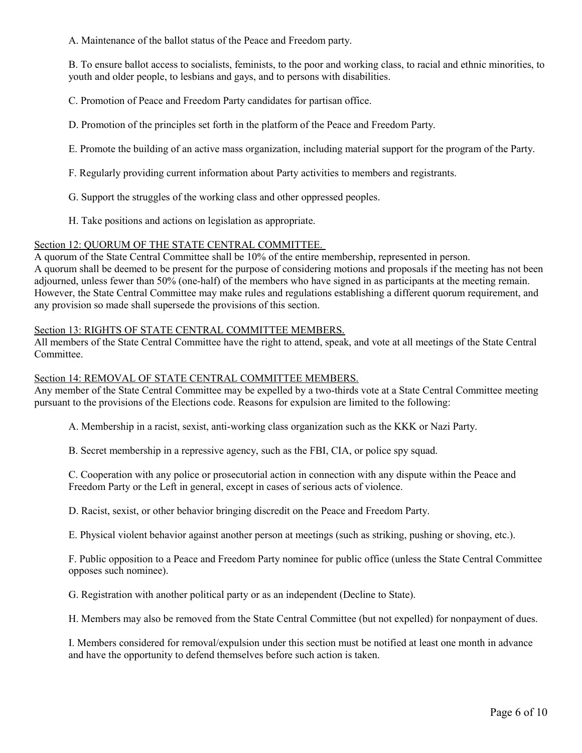A. Maintenance of the ballot status of the Peace and Freedom party.

B. To ensure ballot access to socialists, feminists, to the poor and working class, to racial and ethnic minorities, to youth and older people, to lesbians and gays, and to persons with disabilities.

C. Promotion of Peace and Freedom Party candidates for partisan office.

D. Promotion of the principles set forth in the platform of the Peace and Freedom Party.

- E. Promote the building of an active mass organization, including material support for the program of the Party.
- F. Regularly providing current information about Party activities to members and registrants.
- G. Support the struggles of the working class and other oppressed peoples.
- H. Take positions and actions on legislation as appropriate.

## Section 12: QUORUM OF THE STATE CENTRAL COMMITTEE.

A quorum of the State Central Committee shall be 10% of the entire membership, represented in person. A quorum shall be deemed to be present for the purpose of considering motions and proposals if the meeting has not been adjourned, unless fewer than 50% (one-half) of the members who have signed in as participants at the meeting remain. However, the State Central Committee may make rules and regulations establishing a different quorum requirement, and any provision so made shall supersede the provisions of this section.

## Section 13: RIGHTS OF STATE CENTRAL COMMITTEE MEMBERS.

All members of the State Central Committee have the right to attend, speak, and vote at all meetings of the State Central Committee.

## Section 14: REMOVAL OF STATE CENTRAL COMMITTEE MEMBERS.

Any member of the State Central Committee may be expelled by a two-thirds vote at a State Central Committee meeting pursuant to the provisions of the Elections code. Reasons for expulsion are limited to the following:

A. Membership in a racist, sexist, anti-working class organization such as the KKK or Nazi Party.

B. Secret membership in a repressive agency, such as the FBI, CIA, or police spy squad.

C. Cooperation with any police or prosecutorial action in connection with any dispute within the Peace and Freedom Party or the Left in general, except in cases of serious acts of violence.

D. Racist, sexist, or other behavior bringing discredit on the Peace and Freedom Party.

E. Physical violent behavior against another person at meetings (such as striking, pushing or shoving, etc.).

F. Public opposition to a Peace and Freedom Party nominee for public office (unless the State Central Committee opposes such nominee).

G. Registration with another political party or as an independent (Decline to State).

H. Members may also be removed from the State Central Committee (but not expelled) for nonpayment of dues.

I. Members considered for removal/expulsion under this section must be notified at least one month in advance and have the opportunity to defend themselves before such action is taken.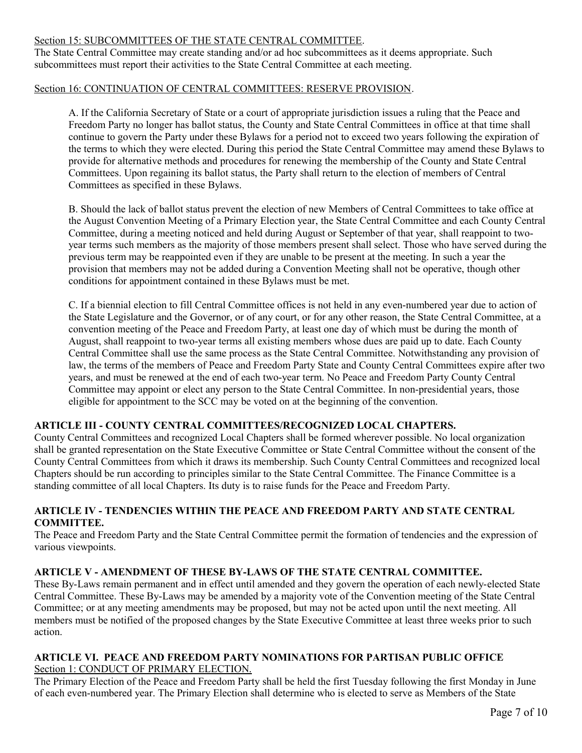## Section 15: SUBCOMMITTEES OF THE STATE CENTRAL COMMITTEE.

The State Central Committee may create standing and/or ad hoc subcommittees as it deems appropriate. Such subcommittees must report their activities to the State Central Committee at each meeting.

## Section 16: CONTINUATION OF CENTRAL COMMITTEES: RESERVE PROVISION.

A. If the California Secretary of State or a court of appropriate jurisdiction issues a ruling that the Peace and Freedom Party no longer has ballot status, the County and State Central Committees in office at that time shall continue to govern the Party under these Bylaws for a period not to exceed two years following the expiration of the terms to which they were elected. During this period the State Central Committee may amend these Bylaws to provide for alternative methods and procedures for renewing the membership of the County and State Central Committees. Upon regaining its ballot status, the Party shall return to the election of members of Central Committees as specified in these Bylaws.

B. Should the lack of ballot status prevent the election of new Members of Central Committees to take office at the August Convention Meeting of a Primary Election year, the State Central Committee and each County Central Committee, during a meeting noticed and held during August or September of that year, shall reappoint to twoyear terms such members as the majority of those members present shall select. Those who have served during the previous term may be reappointed even if they are unable to be present at the meeting. In such a year the provision that members may not be added during a Convention Meeting shall not be operative, though other conditions for appointment contained in these Bylaws must be met.

C. If a biennial election to fill Central Committee offices is not held in any even-numbered year due to action of the State Legislature and the Governor, or of any court, or for any other reason, the State Central Committee, at a convention meeting of the Peace and Freedom Party, at least one day of which must be during the month of August, shall reappoint to two-year terms all existing members whose dues are paid up to date. Each County Central Committee shall use the same process as the State Central Committee. Notwithstanding any provision of law, the terms of the members of Peace and Freedom Party State and County Central Committees expire after two years, and must be renewed at the end of each two-year term. No Peace and Freedom Party County Central Committee may appoint or elect any person to the State Central Committee. In non-presidential years, those eligible for appointment to the SCC may be voted on at the beginning of the convention.

# **ARTICLE III - COUNTY CENTRAL COMMITTEES/RECOGNIZED LOCAL CHAPTERS.**

County Central Committees and recognized Local Chapters shall be formed wherever possible. No local organization shall be granted representation on the State Executive Committee or State Central Committee without the consent of the County Central Committees from which it draws its membership. Such County Central Committees and recognized local Chapters should be run according to principles similar to the State Central Committee. The Finance Committee is a standing committee of all local Chapters. Its duty is to raise funds for the Peace and Freedom Party.

## **ARTICLE IV - TENDENCIES WITHIN THE PEACE AND FREEDOM PARTY AND STATE CENTRAL COMMITTEE.**

The Peace and Freedom Party and the State Central Committee permit the formation of tendencies and the expression of various viewpoints.

# **ARTICLE V - AMENDMENT OF THESE BY-LAWS OF THE STATE CENTRAL COMMITTEE.**

These By-Laws remain permanent and in effect until amended and they govern the operation of each newly-elected State Central Committee. These By-Laws may be amended by a majority vote of the Convention meeting of the State Central Committee; or at any meeting amendments may be proposed, but may not be acted upon until the next meeting. All members must be notified of the proposed changes by the State Executive Committee at least three weeks prior to such action.

#### **ARTICLE VI. PEACE AND FREEDOM PARTY NOMINATIONS FOR PARTISAN PUBLIC OFFICE** Section 1: CONDUCT OF PRIMARY ELECTION.

The Primary Election of the Peace and Freedom Party shall be held the first Tuesday following the first Monday in June of each even-numbered year. The Primary Election shall determine who is elected to serve as Members of the State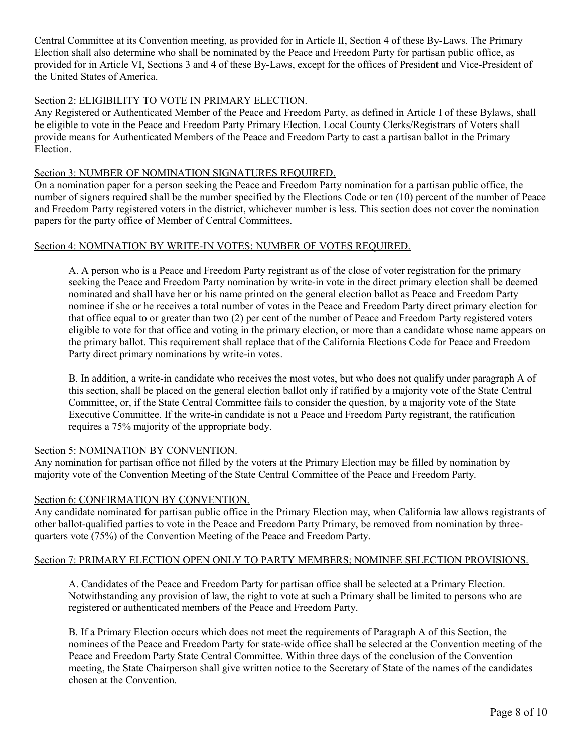Central Committee at its Convention meeting, as provided for in Article II, Section 4 of these By-Laws. The Primary Election shall also determine who shall be nominated by the Peace and Freedom Party for partisan public office, as provided for in Article VI, Sections 3 and 4 of these By-Laws, except for the offices of President and Vice-President of the United States of America.

## Section 2: ELIGIBILITY TO VOTE IN PRIMARY ELECTION.

Any Registered or Authenticated Member of the Peace and Freedom Party, as defined in Article I of these Bylaws, shall be eligible to vote in the Peace and Freedom Party Primary Election. Local County Clerks/Registrars of Voters shall provide means for Authenticated Members of the Peace and Freedom Party to cast a partisan ballot in the Primary **Election** 

## Section 3: NUMBER OF NOMINATION SIGNATURES REQUIRED.

On a nomination paper for a person seeking the Peace and Freedom Party nomination for a partisan public office, the number of signers required shall be the number specified by the Elections Code or ten (10) percent of the number of Peace and Freedom Party registered voters in the district, whichever number is less. This section does not cover the nomination papers for the party office of Member of Central Committees.

## Section 4: NOMINATION BY WRITE-IN VOTES: NUMBER OF VOTES REQUIRED.

A. A person who is a Peace and Freedom Party registrant as of the close of voter registration for the primary seeking the Peace and Freedom Party nomination by write-in vote in the direct primary election shall be deemed nominated and shall have her or his name printed on the general election ballot as Peace and Freedom Party nominee if she or he receives a total number of votes in the Peace and Freedom Party direct primary election for that office equal to or greater than two (2) per cent of the number of Peace and Freedom Party registered voters eligible to vote for that office and voting in the primary election, or more than a candidate whose name appears on the primary ballot. This requirement shall replace that of the California Elections Code for Peace and Freedom Party direct primary nominations by write-in votes.

B. In addition, a write-in candidate who receives the most votes, but who does not qualify under paragraph A of this section, shall be placed on the general election ballot only if ratified by a majority vote of the State Central Committee, or, if the State Central Committee fails to consider the question, by a majority vote of the State Executive Committee. If the write-in candidate is not a Peace and Freedom Party registrant, the ratification requires a 75% majority of the appropriate body.

## Section 5: NOMINATION BY CONVENTION.

Any nomination for partisan office not filled by the voters at the Primary Election may be filled by nomination by majority vote of the Convention Meeting of the State Central Committee of the Peace and Freedom Party.

## Section 6: CONFIRMATION BY CONVENTION.

Any candidate nominated for partisan public office in the Primary Election may, when California law allows registrants of other ballot-qualified parties to vote in the Peace and Freedom Party Primary, be removed from nomination by threequarters vote (75%) of the Convention Meeting of the Peace and Freedom Party.

## Section 7: PRIMARY ELECTION OPEN ONLY TO PARTY MEMBERS; NOMINEE SELECTION PROVISIONS.

A. Candidates of the Peace and Freedom Party for partisan office shall be selected at a Primary Election. Notwithstanding any provision of law, the right to vote at such a Primary shall be limited to persons who are registered or authenticated members of the Peace and Freedom Party.

B. If a Primary Election occurs which does not meet the requirements of Paragraph A of this Section, the nominees of the Peace and Freedom Party for state-wide office shall be selected at the Convention meeting of the Peace and Freedom Party State Central Committee. Within three days of the conclusion of the Convention meeting, the State Chairperson shall give written notice to the Secretary of State of the names of the candidates chosen at the Convention.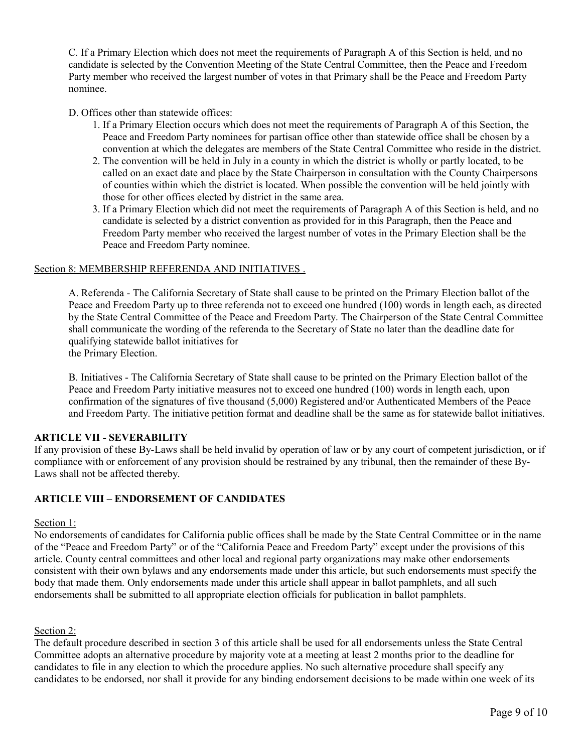C. If a Primary Election which does not meet the requirements of Paragraph A of this Section is held, and no candidate is selected by the Convention Meeting of the State Central Committee, then the Peace and Freedom Party member who received the largest number of votes in that Primary shall be the Peace and Freedom Party nominee.

## D. Offices other than statewide offices:

- 1. If a Primary Election occurs which does not meet the requirements of Paragraph A of this Section, the Peace and Freedom Party nominees for partisan office other than statewide office shall be chosen by a convention at which the delegates are members of the State Central Committee who reside in the district.
- 2. The convention will be held in July in a county in which the district is wholly or partly located, to be called on an exact date and place by the State Chairperson in consultation with the County Chairpersons of counties within which the district is located. When possible the convention will be held jointly with those for other offices elected by district in the same area.
- 3. If a Primary Election which did not meet the requirements of Paragraph A of this Section is held, and no candidate is selected by a district convention as provided for in this Paragraph, then the Peace and Freedom Party member who received the largest number of votes in the Primary Election shall be the Peace and Freedom Party nominee.

## Section 8: MEMBERSHIP REFERENDA AND INITIATIVES .

A. Referenda - The California Secretary of State shall cause to be printed on the Primary Election ballot of the Peace and Freedom Party up to three referenda not to exceed one hundred (100) words in length each, as directed by the State Central Committee of the Peace and Freedom Party. The Chairperson of the State Central Committee shall communicate the wording of the referenda to the Secretary of State no later than the deadline date for qualifying statewide ballot initiatives for the Primary Election.

B. Initiatives - The California Secretary of State shall cause to be printed on the Primary Election ballot of the Peace and Freedom Party initiative measures not to exceed one hundred (100) words in length each, upon confirmation of the signatures of five thousand (5,000) Registered and/or Authenticated Members of the Peace and Freedom Party. The initiative petition format and deadline shall be the same as for statewide ballot initiatives.

## **ARTICLE VII - SEVERABILITY**

If any provision of these By-Laws shall be held invalid by operation of law or by any court of competent jurisdiction, or if compliance with or enforcement of any provision should be restrained by any tribunal, then the remainder of these By-Laws shall not be affected thereby.

# **ARTICLE VIII – ENDORSEMENT OF CANDIDATES**

## Section 1:

No endorsements of candidates for California public offices shall be made by the State Central Committee or in the name of the "Peace and Freedom Party" or of the "California Peace and Freedom Party" except under the provisions of this article. County central committees and other local and regional party organizations may make other endorsements consistent with their own bylaws and any endorsements made under this article, but such endorsements must specify the body that made them. Only endorsements made under this article shall appear in ballot pamphlets, and all such endorsements shall be submitted to all appropriate election officials for publication in ballot pamphlets.

## Section 2:

The default procedure described in section 3 of this article shall be used for all endorsements unless the State Central Committee adopts an alternative procedure by majority vote at a meeting at least 2 months prior to the deadline for candidates to file in any election to which the procedure applies. No such alternative procedure shall specify any candidates to be endorsed, nor shall it provide for any binding endorsement decisions to be made within one week of its